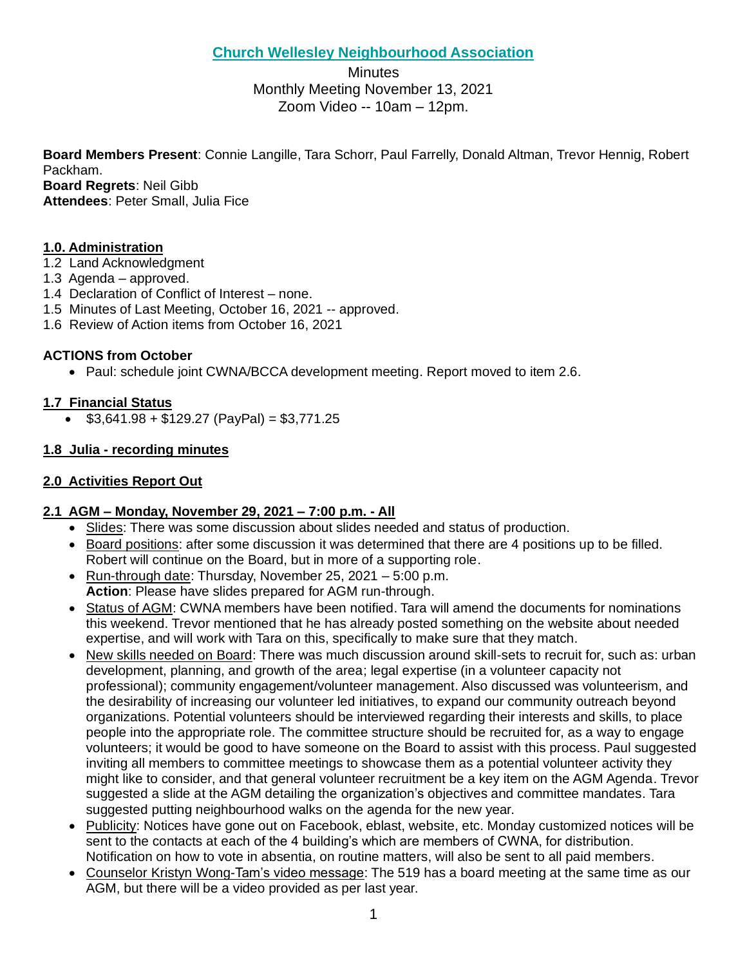# **Church Wellesley Neighbourhood Association**

**Minutes** Monthly Meeting November 13, 2021 Zoom Video -- 10am – 12pm.

**Board Members Present**: Connie Langille, Tara Schorr, Paul Farrelly, Donald Altman, Trevor Hennig, Robert Packham.

**Board Regrets**: Neil Gibb

**Attendees**: Peter Small, Julia Fice

# **1.0. Administration**

- 1.2 Land Acknowledgment
- 1.3 Agenda approved.
- 1.4 Declaration of Conflict of Interest none.
- 1.5 Minutes of Last Meeting, October 16, 2021 -- approved.
- 1.6 Review of Action items from October 16, 2021

## **ACTIONS from October**

• Paul: schedule joint CWNA/BCCA development meeting. Report moved to item 2.6.

### **1.7 Financial Status**

 $$3,641.98 + $129.27 (PayPal) = $3,771.25$ 

### **1.8 Julia - recording minutes**

### **2.0 Activities Report Out**

#### **2.1 AGM – Monday, November 29, 2021 – 7:00 p.m. - All**

- Slides: There was some discussion about slides needed and status of production.
- Board positions: after some discussion it was determined that there are 4 positions up to be filled. Robert will continue on the Board, but in more of a supporting role.
- Run-through date: Thursday, November 25, 2021 5:00 p.m. **Action**: Please have slides prepared for AGM run-through.
- Status of AGM: CWNA members have been notified. Tara will amend the documents for nominations this weekend. Trevor mentioned that he has already posted something on the website about needed expertise, and will work with Tara on this, specifically to make sure that they match.
- New skills needed on Board: There was much discussion around skill-sets to recruit for, such as: urban development, planning, and growth of the area; legal expertise (in a volunteer capacity not professional); community engagement/volunteer management. Also discussed was volunteerism, and the desirability of increasing our volunteer led initiatives, to expand our community outreach beyond organizations. Potential volunteers should be interviewed regarding their interests and skills, to place people into the appropriate role. The committee structure should be recruited for, as a way to engage volunteers; it would be good to have someone on the Board to assist with this process. Paul suggested inviting all members to committee meetings to showcase them as a potential volunteer activity they might like to consider, and that general volunteer recruitment be a key item on the AGM Agenda. Trevor suggested a slide at the AGM detailing the organization's objectives and committee mandates. Tara suggested putting neighbourhood walks on the agenda for the new year.
- Publicity: Notices have gone out on Facebook, eblast, website, etc. Monday customized notices will be sent to the contacts at each of the 4 building's which are members of CWNA, for distribution. Notification on how to vote in absentia, on routine matters, will also be sent to all paid members.
- Counselor Kristyn Wong-Tam's video message: The 519 has a board meeting at the same time as our AGM, but there will be a video provided as per last year.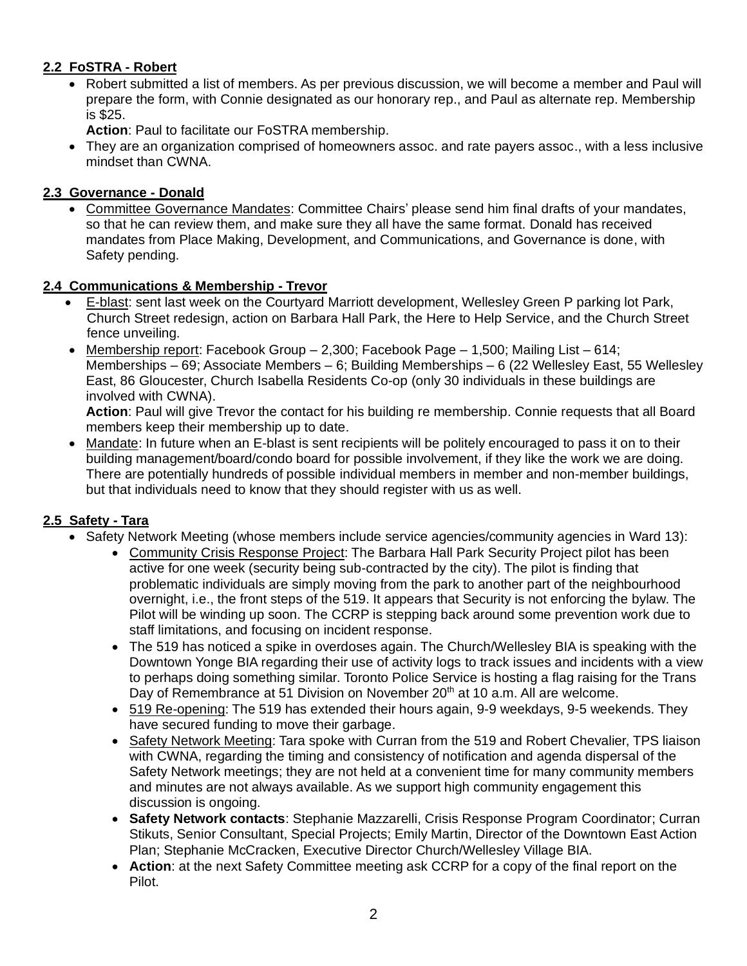## **2.2 FoSTRA - Robert**

• Robert submitted a list of members. As per previous discussion, we will become a member and Paul will prepare the form, with Connie designated as our honorary rep., and Paul as alternate rep. Membership is \$25.

**Action**: Paul to facilitate our FoSTRA membership.

• They are an organization comprised of homeowners assoc. and rate payers assoc., with a less inclusive mindset than CWNA.

## **2.3 Governance - Donald**

• Committee Governance Mandates: Committee Chairs' please send him final drafts of your mandates, so that he can review them, and make sure they all have the same format. Donald has received mandates from Place Making, Development, and Communications, and Governance is done, with Safety pending.

# **2.4 Communications & Membership - Trevor**

- E-blast: sent last week on the Courtyard Marriott development, Wellesley Green P parking lot Park, Church Street redesign, action on Barbara Hall Park, the Here to Help Service, and the Church Street fence unveiling.
- Membership report: Facebook Group  $-2,300$ ; Facebook Page  $-1,500$ ; Mailing List  $-614$ ; Memberships – 69; Associate Members – 6; Building Memberships – 6 (22 Wellesley East, 55 Wellesley East, 86 Gloucester, Church Isabella Residents Co-op (only 30 individuals in these buildings are involved with CWNA).

**Action**: Paul will give Trevor the contact for his building re membership. Connie requests that all Board members keep their membership up to date.

• Mandate: In future when an E-blast is sent recipients will be politely encouraged to pass it on to their building management/board/condo board for possible involvement, if they like the work we are doing. There are potentially hundreds of possible individual members in member and non-member buildings, but that individuals need to know that they should register with us as well.

# **2.5 Safety - Tara**

- Safety Network Meeting (whose members include service agencies/community agencies in Ward 13):
	- Community Crisis Response Project: The Barbara Hall Park Security Project pilot has been active for one week (security being sub-contracted by the city). The pilot is finding that problematic individuals are simply moving from the park to another part of the neighbourhood overnight, i.e., the front steps of the 519. It appears that Security is not enforcing the bylaw. The Pilot will be winding up soon. The CCRP is stepping back around some prevention work due to staff limitations, and focusing on incident response.
	- The 519 has noticed a spike in overdoses again. The Church/Wellesley BIA is speaking with the Downtown Yonge BIA regarding their use of activity logs to track issues and incidents with a view to perhaps doing something similar. Toronto Police Service is hosting a flag raising for the Trans Day of Remembrance at 51 Division on November 20<sup>th</sup> at 10 a.m. All are welcome.
	- 519 Re-opening: The 519 has extended their hours again, 9-9 weekdays, 9-5 weekends. They have secured funding to move their garbage.
	- Safety Network Meeting: Tara spoke with Curran from the 519 and Robert Chevalier, TPS liaison with CWNA, regarding the timing and consistency of notification and agenda dispersal of the Safety Network meetings; they are not held at a convenient time for many community members and minutes are not always available. As we support high community engagement this discussion is ongoing.
	- **Safety Network contacts**: Stephanie Mazzarelli, Crisis Response Program Coordinator; Curran Stikuts, Senior Consultant, Special Projects; Emily Martin, Director of the Downtown East Action Plan; Stephanie McCracken, Executive Director Church/Wellesley Village BIA.
	- **Action**: at the next Safety Committee meeting ask CCRP for a copy of the final report on the Pilot.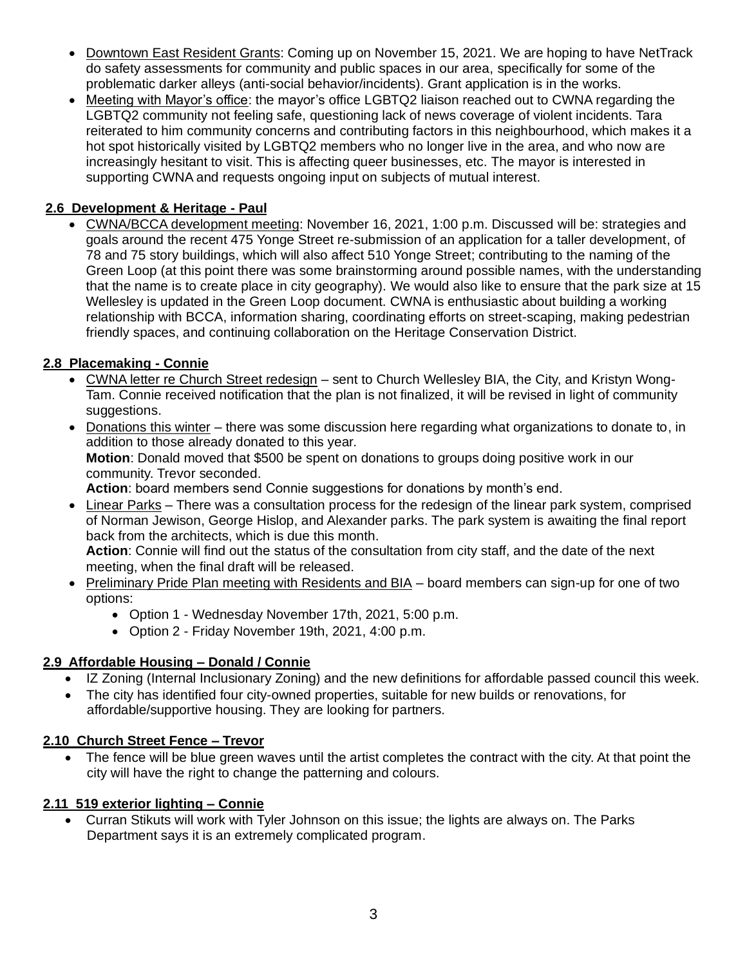- Downtown East Resident Grants: Coming up on November 15, 2021. We are hoping to have NetTrack do safety assessments for community and public spaces in our area, specifically for some of the problematic darker alleys (anti-social behavior/incidents). Grant application is in the works.
- Meeting with Mayor's office: the mayor's office LGBTQ2 liaison reached out to CWNA regarding the LGBTQ2 community not feeling safe, questioning lack of news coverage of violent incidents. Tara reiterated to him community concerns and contributing factors in this neighbourhood, which makes it a hot spot historically visited by LGBTQ2 members who no longer live in the area, and who now are increasingly hesitant to visit. This is affecting queer businesses, etc. The mayor is interested in supporting CWNA and requests ongoing input on subjects of mutual interest.

# **2.6 Development & Heritage - Paul**

• CWNA/BCCA development meeting: November 16, 2021, 1:00 p.m. Discussed will be: strategies and goals around the recent 475 Yonge Street re-submission of an application for a taller development, of 78 and 75 story buildings, which will also affect 510 Yonge Street; contributing to the naming of the Green Loop (at this point there was some brainstorming around possible names, with the understanding that the name is to create place in city geography). We would also like to ensure that the park size at 15 Wellesley is updated in the Green Loop document. CWNA is enthusiastic about building a working relationship with BCCA, information sharing, coordinating efforts on street-scaping, making pedestrian friendly spaces, and continuing collaboration on the Heritage Conservation District.

## **2.8 Placemaking - Connie**

- CWNA letter re Church Street redesign sent to Church Wellesley BIA, the City, and Kristyn Wong-Tam. Connie received notification that the plan is not finalized, it will be revised in light of community suggestions.
- Donations this winter there was some discussion here regarding what organizations to donate to, in addition to those already donated to this year. **Motion**: Donald moved that \$500 be spent on donations to groups doing positive work in our community. Trevor seconded.

**Action**: board members send Connie suggestions for donations by month's end.

• Linear Parks – There was a consultation process for the redesign of the linear park system, comprised of Norman Jewison, George Hislop, and Alexander parks. The park system is awaiting the final report back from the architects, which is due this month.

**Action**: Connie will find out the status of the consultation from city staff, and the date of the next meeting, when the final draft will be released.

- Preliminary Pride Plan meeting with Residents and BIA board members can sign-up for one of two options:
	- Option 1 Wednesday November 17th, 2021, 5:00 p.m.
	- Option 2 Friday November 19th, 2021, 4:00 p.m.

## **2.9 Affordable Housing – Donald / Connie**

- IZ Zoning (Internal Inclusionary Zoning) and the new definitions for affordable passed council this week.
- The city has identified four city-owned properties, suitable for new builds or renovations, for affordable/supportive housing. They are looking for partners.

#### **2.10 Church Street Fence – Trevor**

• The fence will be blue green waves until the artist completes the contract with the city. At that point the city will have the right to change the patterning and colours.

## **2.11 519 exterior lighting – Connie**

• Curran Stikuts will work with Tyler Johnson on this issue; the lights are always on. The Parks Department says it is an extremely complicated program.